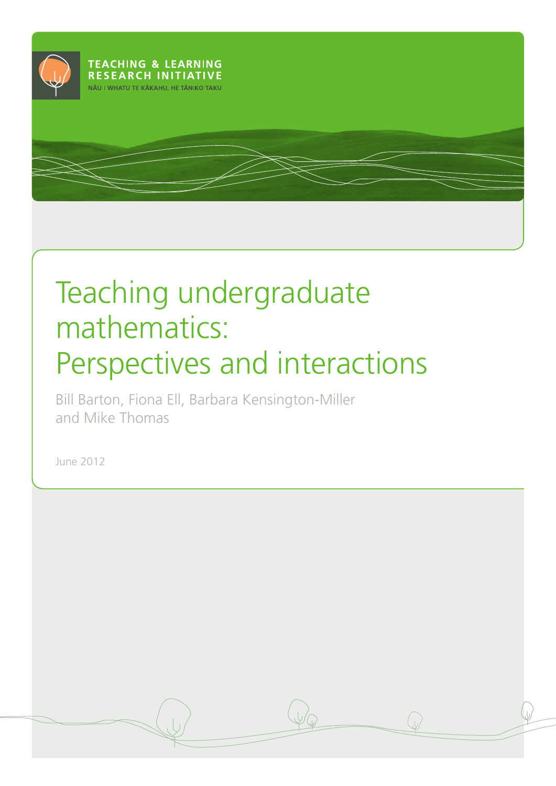

# Teaching undergraduate mathematics: Perspectives and interactions

Bill Barton, Fiona Ell, Barbara Kensington-Miller and Mike Thomas

June 2012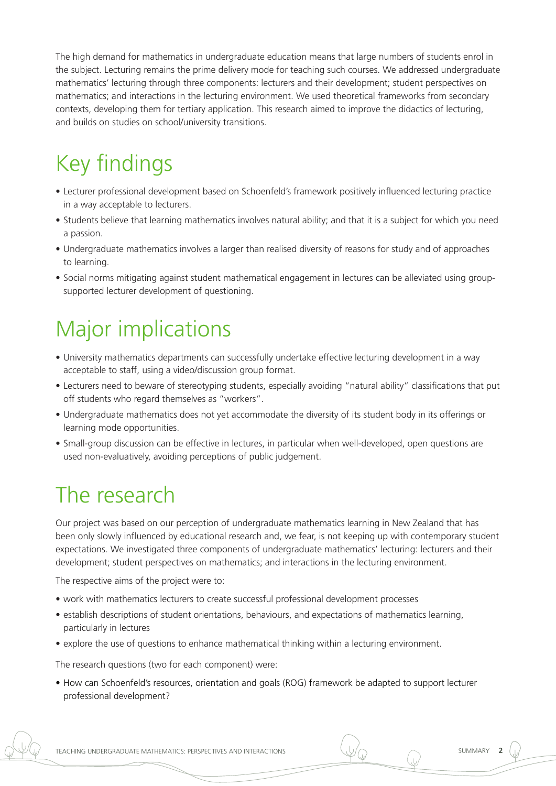The high demand for mathematics in undergraduate education means that large numbers of students enrol in the subject. Lecturing remains the prime delivery mode for teaching such courses. We addressed undergraduate mathematics' lecturing through three components: lecturers and their development; student perspectives on mathematics; and interactions in the lecturing environment. We used theoretical frameworks from secondary contexts, developing them for tertiary application. This research aimed to improve the didactics of lecturing, and builds on studies on school/university transitions.

# Key findings

- • Lecturer professional development based on Schoenfeld's framework positively influenced lecturing practice in a way acceptable to lecturers.
- Students believe that learning mathematics involves natural ability; and that it is a subject for which you need a passion.
- Undergraduate mathematics involves a larger than realised diversity of reasons for study and of approaches to learning.
- Social norms mitigating against student mathematical engagement in lectures can be alleviated using groupsupported lecturer development of questioning.

# Major implications

- • University mathematics departments can successfully undertake effective lecturing development in a way acceptable to staff, using a video/discussion group format.
- Lecturers need to beware of stereotyping students, especially avoiding "natural ability" classifications that put off students who regard themselves as "workers".
- Undergraduate mathematics does not vet accommodate the diversity of its student body in its offerings or learning mode opportunities.
- • Small-group discussion can be effective in lectures, in particular when well-developed, open questions are used non-evaluatively, avoiding perceptions of public judgement.

## The research

Our project was based on our perception of undergraduate mathematics learning in New Zealand that has been only slowly influenced by educational research and, we fear, is not keeping up with contemporary student expectations. We investigated three components of undergraduate mathematics' lecturing: lecturers and their development; student perspectives on mathematics; and interactions in the lecturing environment.

The respective aims of the project were to:

- work with mathematics lecturers to create successful professional development processes
- establish descriptions of student orientations, behaviours, and expectations of mathematics learning, particularly in lectures
- explore the use of questions to enhance mathematical thinking within a lecturing environment.

The research questions (two for each component) were:

• How can Schoenfeld's resources, orientation and goals (ROG) framework be adapted to support lecturer professional development?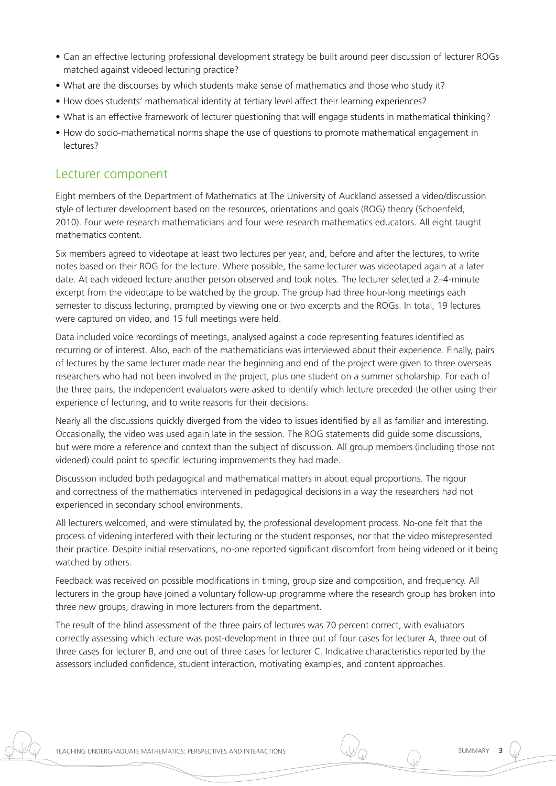- • Can an effective lecturing professional development strategy be built around peer discussion of lecturer ROGs matched against videoed lecturing practice?
- What are the discourses by which students make sense of mathematics and those who study it?
- How does students' mathematical identity at tertiary level affect their learning experiences?
- What is an effective framework of lecturer questioning that will engage students in mathematical thinking?
- How do socio-mathematical norms shape the use of questions to promote mathematical engagement in lectures?

### Lecturer component

Eight members of the Department of Mathematics at The University of Auckland assessed a video/discussion style of lecturer development based on the resources, orientations and goals (ROG) theory (Schoenfeld, 2010). Four were research mathematicians and four were research mathematics educators. All eight taught mathematics content.

Six members agreed to videotape at least two lectures per year, and, before and after the lectures, to write notes based on their ROG for the lecture. Where possible, the same lecturer was videotaped again at a later date. At each videoed lecture another person observed and took notes. The lecturer selected a 2–4-minute excerpt from the videotape to be watched by the group. The group had three hour-long meetings each semester to discuss lecturing, prompted by viewing one or two excerpts and the ROGs. In total, 19 lectures were captured on video, and 15 full meetings were held.

Data included voice recordings of meetings, analysed against a code representing features identified as recurring or of interest. Also, each of the mathematicians was interviewed about their experience. Finally, pairs of lectures by the same lecturer made near the beginning and end of the project were given to three overseas researchers who had not been involved in the project, plus one student on a summer scholarship. For each of the three pairs, the independent evaluators were asked to identify which lecture preceded the other using their experience of lecturing, and to write reasons for their decisions.

Nearly all the discussions quickly diverged from the video to issues identified by all as familiar and interesting. Occasionally, the video was used again late in the session. The ROG statements did guide some discussions, but were more a reference and context than the subject of discussion. All group members (including those not videoed) could point to specific lecturing improvements they had made.

Discussion included both pedagogical and mathematical matters in about equal proportions. The rigour and correctness of the mathematics intervened in pedagogical decisions in a way the researchers had not experienced in secondary school environments.

All lecturers welcomed, and were stimulated by, the professional development process. No-one felt that the process of videoing interfered with their lecturing or the student responses, nor that the video misrepresented their practice. Despite initial reservations, no-one reported significant discomfort from being videoed or it being watched by others.

Feedback was received on possible modifications in timing, group size and composition, and frequency. All lecturers in the group have joined a voluntary follow-up programme where the research group has broken into three new groups, drawing in more lecturers from the department.

The result of the blind assessment of the three pairs of lectures was 70 percent correct, with evaluators correctly assessing which lecture was post-development in three out of four cases for lecturer A, three out of three cases for lecturer B, and one out of three cases for lecturer C. Indicative characteristics reported by the assessors included confidence, student interaction, motivating examples, and content approaches.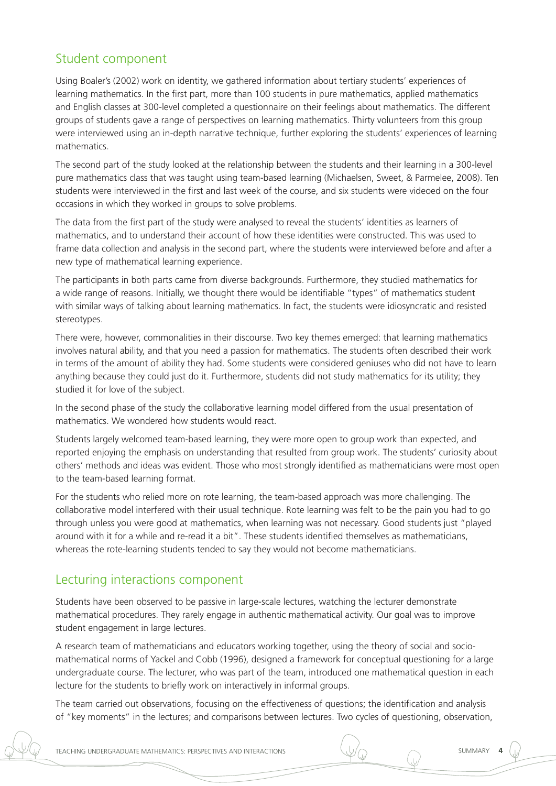### Student component

Using Boaler's (2002) work on identity, we gathered information about tertiary students' experiences of learning mathematics. In the first part, more than 100 students in pure mathematics, applied mathematics and English classes at 300-level completed a questionnaire on their feelings about mathematics. The different groups of students gave a range of perspectives on learning mathematics. Thirty volunteers from this group were interviewed using an in-depth narrative technique, further exploring the students' experiences of learning mathematics.

The second part of the study looked at the relationship between the students and their learning in a 300-level pure mathematics class that was taught using team-based learning (Michaelsen, Sweet, & Parmelee, 2008). Ten students were interviewed in the first and last week of the course, and six students were videoed on the four occasions in which they worked in groups to solve problems.

The data from the first part of the study were analysed to reveal the students' identities as learners of mathematics, and to understand their account of how these identities were constructed. This was used to frame data collection and analysis in the second part, where the students were interviewed before and after a new type of mathematical learning experience.

The participants in both parts came from diverse backgrounds. Furthermore, they studied mathematics for a wide range of reasons. Initially, we thought there would be identifiable "types" of mathematics student with similar ways of talking about learning mathematics. In fact, the students were idiosyncratic and resisted stereotypes.

There were, however, commonalities in their discourse. Two key themes emerged: that learning mathematics involves natural ability, and that you need a passion for mathematics. The students often described their work in terms of the amount of ability they had. Some students were considered geniuses who did not have to learn anything because they could just do it. Furthermore, students did not study mathematics for its utility; they studied it for love of the subject.

In the second phase of the study the collaborative learning model differed from the usual presentation of mathematics. We wondered how students would react.

Students largely welcomed team-based learning, they were more open to group work than expected, and reported enjoying the emphasis on understanding that resulted from group work. The students' curiosity about others' methods and ideas was evident. Those who most strongly identified as mathematicians were most open to the team-based learning format.

For the students who relied more on rote learning, the team-based approach was more challenging. The collaborative model interfered with their usual technique. Rote learning was felt to be the pain you had to go through unless you were good at mathematics, when learning was not necessary. Good students just "played around with it for a while and re-read it a bit". These students identified themselves as mathematicians, whereas the rote-learning students tended to say they would not become mathematicians.

### Lecturing interactions component

Students have been observed to be passive in large-scale lectures, watching the lecturer demonstrate mathematical procedures. They rarely engage in authentic mathematical activity. Our goal was to improve student engagement in large lectures.

A research team of mathematicians and educators working together, using the theory of social and sociomathematical norms of Yackel and Cobb (1996), designed a framework for conceptual questioning for a large undergraduate course. The lecturer, who was part of the team, introduced one mathematical question in each lecture for the students to briefly work on interactively in informal groups.

The team carried out observations, focusing on the effectiveness of questions; the identification and analysis of "key moments" in the lectures; and comparisons between lectures. Two cycles of questioning, observation,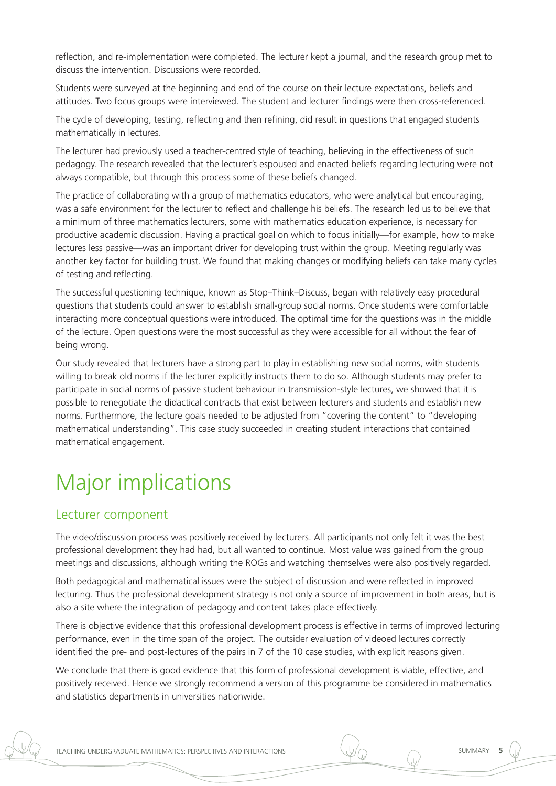reflection, and re-implementation were completed. The lecturer kept a journal, and the research group met to discuss the intervention. Discussions were recorded.

Students were surveyed at the beginning and end of the course on their lecture expectations, beliefs and attitudes. Two focus groups were interviewed. The student and lecturer findings were then cross-referenced.

The cycle of developing, testing, reflecting and then refining, did result in questions that engaged students mathematically in lectures.

The lecturer had previously used a teacher-centred style of teaching, believing in the effectiveness of such pedagogy. The research revealed that the lecturer's espoused and enacted beliefs regarding lecturing were not always compatible, but through this process some of these beliefs changed.

The practice of collaborating with a group of mathematics educators, who were analytical but encouraging, was a safe environment for the lecturer to reflect and challenge his beliefs. The research led us to believe that a minimum of three mathematics lecturers, some with mathematics education experience, is necessary for productive academic discussion. Having a practical goal on which to focus initially—for example, how to make lectures less passive—was an important driver for developing trust within the group. Meeting regularly was another key factor for building trust. We found that making changes or modifying beliefs can take many cycles of testing and reflecting.

The successful questioning technique, known as Stop–Think–Discuss, began with relatively easy procedural questions that students could answer to establish small-group social norms. Once students were comfortable interacting more conceptual questions were introduced. The optimal time for the questions was in the middle of the lecture. Open questions were the most successful as they were accessible for all without the fear of being wrong.

Our study revealed that lecturers have a strong part to play in establishing new social norms, with students willing to break old norms if the lecturer explicitly instructs them to do so. Although students may prefer to participate in social norms of passive student behaviour in transmission-style lectures, we showed that it is possible to renegotiate the didactical contracts that exist between lecturers and students and establish new norms. Furthermore, the lecture goals needed to be adjusted from "covering the content" to "developing mathematical understanding". This case study succeeded in creating student interactions that contained mathematical engagement.

### Major implications

### Lecturer component

The video/discussion process was positively received by lecturers. All participants not only felt it was the best professional development they had had, but all wanted to continue. Most value was gained from the group meetings and discussions, although writing the ROGs and watching themselves were also positively regarded.

Both pedagogical and mathematical issues were the subject of discussion and were reflected in improved lecturing. Thus the professional development strategy is not only a source of improvement in both areas, but is also a site where the integration of pedagogy and content takes place effectively.

There is objective evidence that this professional development process is effective in terms of improved lecturing performance, even in the time span of the project. The outsider evaluation of videoed lectures correctly identified the pre- and post-lectures of the pairs in 7 of the 10 case studies, with explicit reasons given.

We conclude that there is good evidence that this form of professional development is viable, effective, and positively received. Hence we strongly recommend a version of this programme be considered in mathematics and statistics departments in universities nationwide.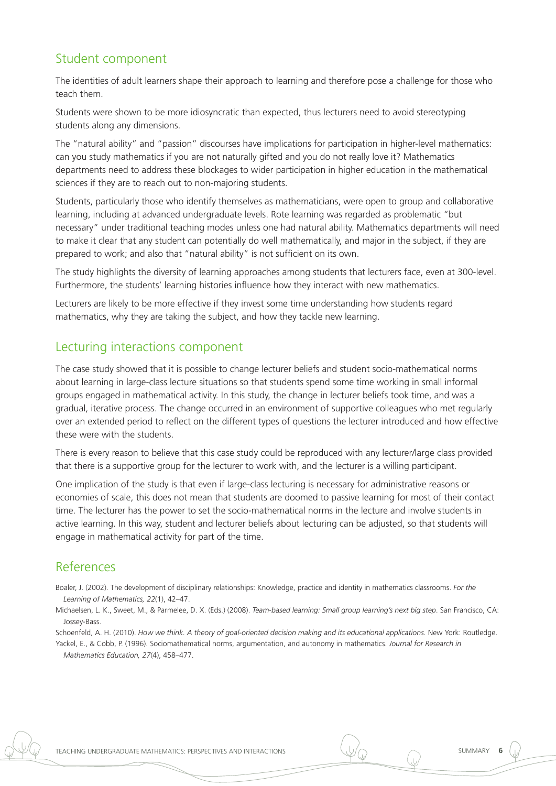### Student component

The identities of adult learners shape their approach to learning and therefore pose a challenge for those who teach them.

Students were shown to be more idiosyncratic than expected, thus lecturers need to avoid stereotyping students along any dimensions.

The "natural ability" and "passion" discourses have implications for participation in higher-level mathematics: can you study mathematics if you are not naturally gifted and you do not really love it? Mathematics departments need to address these blockages to wider participation in higher education in the mathematical sciences if they are to reach out to non-majoring students.

Students, particularly those who identify themselves as mathematicians, were open to group and collaborative learning, including at advanced undergraduate levels. Rote learning was regarded as problematic "but necessary" under traditional teaching modes unless one had natural ability. Mathematics departments will need to make it clear that any student can potentially do well mathematically, and major in the subject, if they are prepared to work; and also that "natural ability" is not sufficient on its own.

The study highlights the diversity of learning approaches among students that lecturers face, even at 300-level. Furthermore, the students' learning histories influence how they interact with new mathematics.

Lecturers are likely to be more effective if they invest some time understanding how students regard mathematics, why they are taking the subject, and how they tackle new learning.

### Lecturing interactions component

The case study showed that it is possible to change lecturer beliefs and student socio-mathematical norms about learning in large-class lecture situations so that students spend some time working in small informal groups engaged in mathematical activity. In this study, the change in lecturer beliefs took time, and was a gradual, iterative process. The change occurred in an environment of supportive colleagues who met regularly over an extended period to reflect on the different types of questions the lecturer introduced and how effective these were with the students.

There is every reason to believe that this case study could be reproduced with any lecturer/large class provided that there is a supportive group for the lecturer to work with, and the lecturer is a willing participant.

One implication of the study is that even if large-class lecturing is necessary for administrative reasons or economies of scale, this does not mean that students are doomed to passive learning for most of their contact time. The lecturer has the power to set the socio-mathematical norms in the lecture and involve students in active learning. In this way, student and lecturer beliefs about lecturing can be adjusted, so that students will engage in mathematical activity for part of the time.

### References

Boaler, J. (2002). The development of disciplinary relationships: Knowledge, practice and identity in mathematics classrooms. *For the Learning of Mathematics, 22*(1), 42–47.

Michaelsen, L. K., Sweet, M., & Parmelee, D. X. (Eds.) (2008). *Team-based learning: Small group learning's next big step*. San Francisco, CA: Jossey-Bass.

Schoenfeld, A. H. (2010). *How we think. A theory of goal-oriented decision making and its educational applications.* New York: Routledge. Yackel, E., & Cobb, P. (1996). Sociomathematical norms, argumentation, and autonomy in mathematics. *Journal for Research in* 

*Mathematics Education, 27*(4), 458–477.